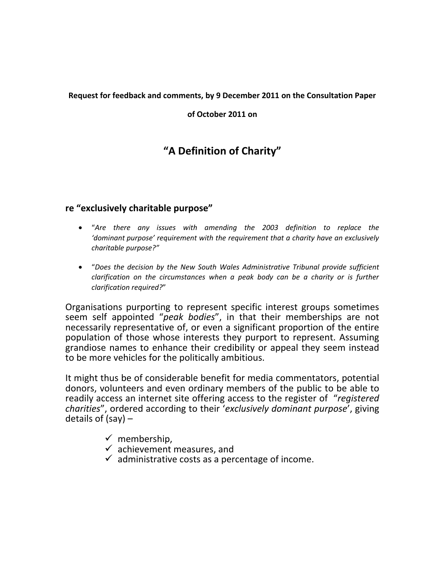#### **Request for feedback and comments, by 9 December 2011 on the Consultation Paper**

#### **of October 2011 on**

# **"A Definition of Charity"**

#### **re "exclusively charitable purpose"**

- "*Are there any issues with amending the 2003 definition to replace the 'dominant purpose' requirement with the requirement that a charity have an exclusively charitable purpose?"*
- "*Does the decision by the New South Wales Administrative Tribunal provide sufficient clarification on the circumstances when a peak body can be a charity or is further clarification required?*"

Organisations purporting to represent specific interest groups sometimes seem self appointed "*peak bodies*", in that their memberships are not necessarily representative of, or even a significant proportion of the entire population of those whose interests they purport to represent. Assuming grandiose names to enhance their credibility or appeal they seem instead to be more vehicles for the politically ambitious.

It might thus be of considerable benefit for media commentators, potential donors, volunteers and even ordinary members of the public to be able to readily access an internet site offering access to the register of "*registered charities*", ordered according to their '*exclusively dominant purpose*', giving details of (say) –

- $\checkmark$  membership,
- $\checkmark$  achievement measures, and
- $\checkmark$  administrative costs as a percentage of income.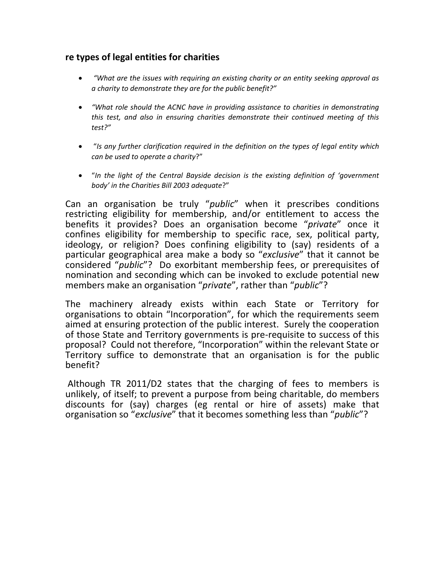## **re types of legal entities for charities**

- *"What are the issues with requiring an existing charity or an entity seeking approval as a charity to demonstrate they are for the public benefit?"*
- *"What role should the ACNC have in providing assistance to charities in demonstrating this test, and also in ensuring charities demonstrate their continued meeting of this test?"*
- "*Is any further clarification required in the definition on the types of legal entity which can be used to operate a charity*?"
- "*In the light of the Central Bayside decision is the existing definition of 'government body' in the Charities Bill 2003 adequate*?"

Can an organisation be truly "*public*" when it prescribes conditions restricting eligibility for membership, and/or entitlement to access the benefits it provides? Does an organisation become "*private*" once it confines eligibility for membership to specific race, sex, political party, ideology, or religion? Does confining eligibility to (say) residents of a particular geographical area make a body so "*exclusive*" that it cannot be considered "*public*"? Do exorbitant membership fees, or prerequisites of nomination and seconding which can be invoked to exclude potential new members make an organisation "*private*", rather than "*public*"?

The machinery already exists within each State or Territory for organisations to obtain "Incorporation", for which the requirements seem aimed at ensuring protection of the public interest. Surely the cooperation of those State and Territory governments is pre-requisite to success of this proposal? Could not therefore, "Incorporation" within the relevant State or Territory suffice to demonstrate that an organisation is for the public benefit?

Although TR 2011/D2 states that the charging of fees to members is unlikely, of itself; to prevent a purpose from being charitable, do members discounts for (say) charges (eg rental or hire of assets) make that organisation so "*exclusive*" that it becomes something less than "*public*"?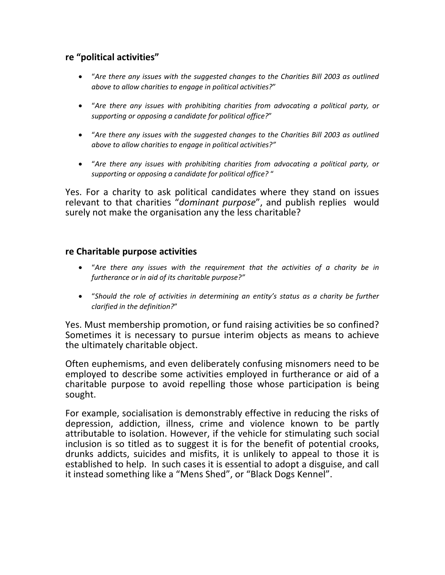## **re "political activities"**

- "*Are there any issues with the suggested changes to the Charities Bill 2003 as outlined above to allow charities to engage in political activities?*"
- "*Are there any issues with prohibiting charities from advocating a political party, or supporting or opposing a candidate for political office?*"
- "*Are there any issues with the suggested changes to the Charities Bill 2003 as outlined above to allow charities to engage in political activities?"*
- "*Are there any issues with prohibiting charities from advocating a political party, or supporting or opposing a candidate for political office?* "

Yes. For a charity to ask political candidates where they stand on issues relevant to that charities "*dominant purpose*", and publish replies would surely not make the organisation any the less charitable?

#### **re Charitable purpose activities**

- "*Are there any issues with the requirement that the activities of a charity be in furtherance or in aid of its charitable purpose?"*
- "*Should the role of activities in determining an entity's status as a charity be further clarified in the definition?*"

Yes. Must membership promotion, or fund raising activities be so confined? Sometimes it is necessary to pursue interim objects as means to achieve the ultimately charitable object.

Often euphemisms, and even deliberately confusing misnomers need to be employed to describe some activities employed in furtherance or aid of a charitable purpose to avoid repelling those whose participation is being sought.

For example, socialisation is demonstrably effective in reducing the risks of depression, addiction, illness, crime and violence known to be partly attributable to isolation. However, if the vehicle for stimulating such social inclusion is so titled as to suggest it is for the benefit of potential crooks, drunks addicts, suicides and misfits, it is unlikely to appeal to those it is established to help. In such cases it is essential to adopt a disguise, and call it instead something like a "Mens Shed", or "Black Dogs Kennel".